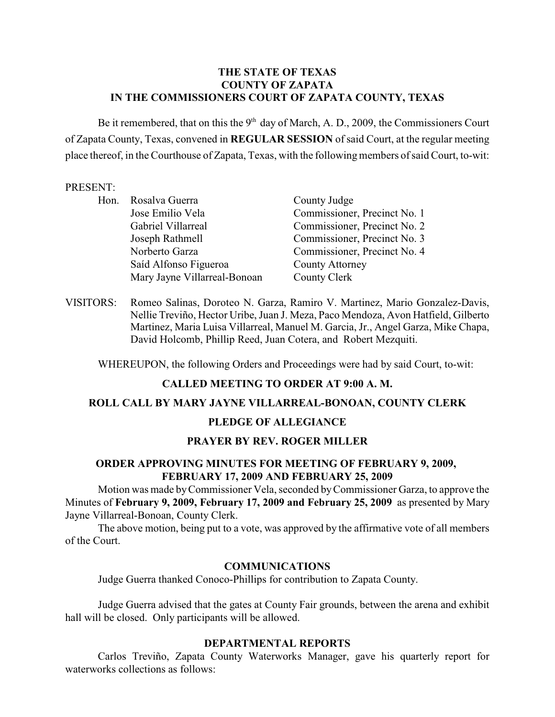### **THE STATE OF TEXAS COUNTY OF ZAPATA IN THE COMMISSIONERS COURT OF ZAPATA COUNTY, TEXAS**

Be it remembered, that on this the  $9<sup>th</sup>$  day of March, A. D., 2009, the Commissioners Court of Zapata County, Texas, convened in **REGULAR SESSION** of said Court, at the regular meeting place thereof, in the Courthouse of Zapata, Texas, with the following members of said Court, to-wit:

#### PRESENT:

| Hon. | Rosalva Guerra               | County Judge                 |
|------|------------------------------|------------------------------|
|      | Jose Emilio Vela             | Commissioner, Precinct No. 1 |
|      | Gabriel Villarreal           | Commissioner, Precinct No. 2 |
|      | Joseph Rathmell              | Commissioner, Precinct No. 3 |
|      | Norberto Garza               | Commissioner, Precinct No. 4 |
|      | Saíd Alfonso Figueroa        | <b>County Attorney</b>       |
|      | Mary Jayne Villarreal-Bonoan | County Clerk                 |

VISITORS: Romeo Salinas, Doroteo N. Garza, Ramiro V. Martinez, Mario Gonzalez-Davis, Nellie Treviño, Hector Uribe, Juan J. Meza, Paco Mendoza, Avon Hatfield, Gilberto Martinez, Maria Luisa Villarreal, Manuel M. Garcia, Jr., Angel Garza, Mike Chapa, David Holcomb, Phillip Reed, Juan Cotera, and Robert Mezquiti.

WHEREUPON, the following Orders and Proceedings were had by said Court, to-wit:

# **CALLED MEETING TO ORDER AT 9:00 A. M.**

### **ROLL CALL BY MARY JAYNE VILLARREAL-BONOAN, COUNTY CLERK**

#### **PLEDGE OF ALLEGIANCE**

#### **PRAYER BY REV. ROGER MILLER**

## **ORDER APPROVING MINUTES FOR MEETING OF FEBRUARY 9, 2009, FEBRUARY 17, 2009 AND FEBRUARY 25, 2009**

Motion was made by Commissioner Vela, seconded by Commissioner Garza, to approve the Minutes of **February 9, 2009, February 17, 2009 and February 25, 2009** as presented by Mary Jayne Villarreal-Bonoan, County Clerk.

The above motion, being put to a vote, was approved by the affirmative vote of all members of the Court.

#### **COMMUNICATIONS**

Judge Guerra thanked Conoco-Phillips for contribution to Zapata County.

Judge Guerra advised that the gates at County Fair grounds, between the arena and exhibit hall will be closed. Only participants will be allowed.

#### **DEPARTMENTAL REPORTS**

Carlos Treviño, Zapata County Waterworks Manager, gave his quarterly report for waterworks collections as follows: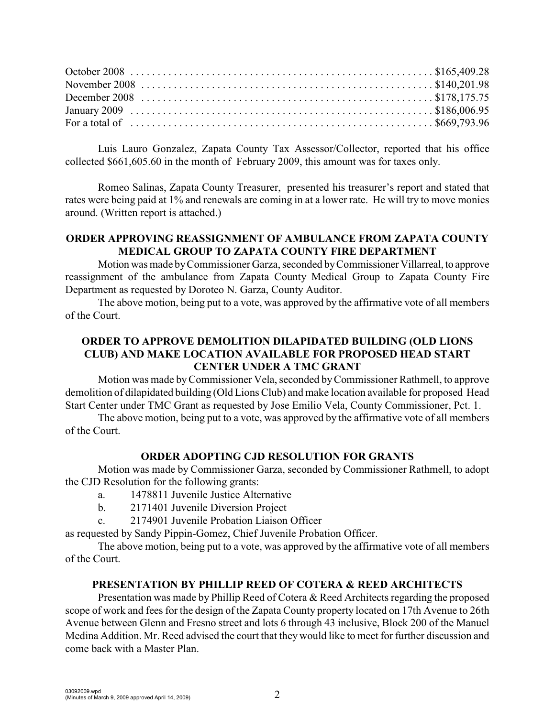Luis Lauro Gonzalez, Zapata County Tax Assessor/Collector, reported that his office collected \$661,605.60 in the month of February 2009, this amount was for taxes only.

Romeo Salinas, Zapata County Treasurer, presented his treasurer's report and stated that rates were being paid at 1% and renewals are coming in at a lower rate. He will try to move monies around. (Written report is attached.)

### **ORDER APPROVING REASSIGNMENT OF AMBULANCE FROM ZAPATA COUNTY MEDICAL GROUP TO ZAPATA COUNTY FIRE DEPARTMENT**

Motion was made by Commissioner Garza, seconded by Commissioner Villarreal, to approve reassignment of the ambulance from Zapata County Medical Group to Zapata County Fire Department as requested by Doroteo N. Garza, County Auditor.

The above motion, being put to a vote, was approved by the affirmative vote of all members of the Court.

# **ORDER TO APPROVE DEMOLITION DILAPIDATED BUILDING (OLD LIONS CLUB) AND MAKE LOCATION AVAILABLE FOR PROPOSED HEAD START CENTER UNDER A TMC GRANT**

Motion was made by Commissioner Vela, seconded by Commissioner Rathmell, to approve demolition of dilapidated building (Old Lions Club) and make location available for proposed Head Start Center under TMC Grant as requested by Jose Emilio Vela, County Commissioner, Pct. 1.

The above motion, being put to a vote, was approved by the affirmative vote of all members of the Court.

# **ORDER ADOPTING CJD RESOLUTION FOR GRANTS**

Motion was made by Commissioner Garza, seconded by Commissioner Rathmell, to adopt the CJD Resolution for the following grants:

- a. 1478811 Juvenile Justice Alternative
- b. 2171401 Juvenile Diversion Project
- c. 2174901 Juvenile Probation Liaison Officer

as requested by Sandy Pippin-Gomez, Chief Juvenile Probation Officer.

The above motion, being put to a vote, was approved by the affirmative vote of all members of the Court.

# **PRESENTATION BY PHILLIP REED OF COTERA & REED ARCHITECTS**

Presentation was made by Phillip Reed of Cotera & Reed Architects regarding the proposed scope of work and fees for the design of the Zapata County property located on 17th Avenue to 26th Avenue between Glenn and Fresno street and lots 6 through 43 inclusive, Block 200 of the Manuel Medina Addition. Mr. Reed advised the court that they would like to meet for further discussion and come back with a Master Plan.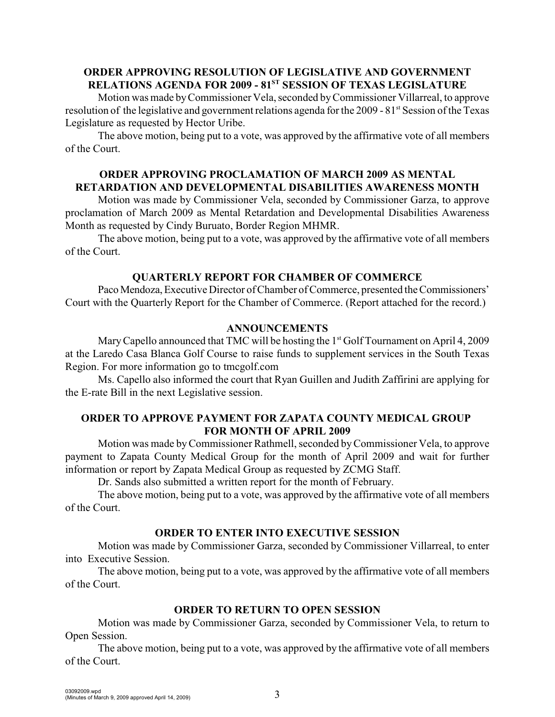# **ORDER APPROVING RESOLUTION OF LEGISLATIVE AND GOVERNMENT RELATIONS AGENDA FOR 2009 - 81<sup>ST</sup> SESSION OF TEXAS LEGISLATURE**

Motion was made byCommissioner Vela, seconded by Commissioner Villarreal, to approve resolution of the legislative and government relations agenda for the 2009 - 81<sup>st</sup> Session of the Texas Legislature as requested by Hector Uribe.

The above motion, being put to a vote, was approved by the affirmative vote of all members of the Court.

## **ORDER APPROVING PROCLAMATION OF MARCH 2009 AS MENTAL RETARDATION AND DEVELOPMENTAL DISABILITIES AWARENESS MONTH**

Motion was made by Commissioner Vela, seconded by Commissioner Garza, to approve proclamation of March 2009 as Mental Retardation and Developmental Disabilities Awareness Month as requested by Cindy Buruato, Border Region MHMR.

The above motion, being put to a vote, was approved by the affirmative vote of all members of the Court.

### **QUARTERLY REPORT FOR CHAMBER OF COMMERCE**

Paco Mendoza, Executive Director of Chamber of Commerce, presented the Commissioners' Court with the Quarterly Report for the Chamber of Commerce. (Report attached for the record.)

# **ANNOUNCEMENTS**

Mary Capello announced that TMC will be hosting the  $1<sup>st</sup>$  Golf Tournament on April 4, 2009 at the Laredo Casa Blanca Golf Course to raise funds to supplement services in the South Texas Region. For more information go to tmcgolf.com

Ms. Capello also informed the court that Ryan Guillen and Judith Zaffirini are applying for the E-rate Bill in the next Legislative session.

### **ORDER TO APPROVE PAYMENT FOR ZAPATA COUNTY MEDICAL GROUP FOR MONTH OF APRIL 2009**

Motion was made by Commissioner Rathmell, seconded by Commissioner Vela, to approve payment to Zapata County Medical Group for the month of April 2009 and wait for further information or report by Zapata Medical Group as requested by ZCMG Staff.

Dr. Sands also submitted a written report for the month of February.

The above motion, being put to a vote, was approved by the affirmative vote of all members of the Court.

# **ORDER TO ENTER INTO EXECUTIVE SESSION**

Motion was made by Commissioner Garza, seconded by Commissioner Villarreal, to enter into Executive Session.

The above motion, being put to a vote, was approved by the affirmative vote of all members of the Court.

# **ORDER TO RETURN TO OPEN SESSION**

Motion was made by Commissioner Garza, seconded by Commissioner Vela, to return to Open Session.

The above motion, being put to a vote, was approved by the affirmative vote of all members of the Court.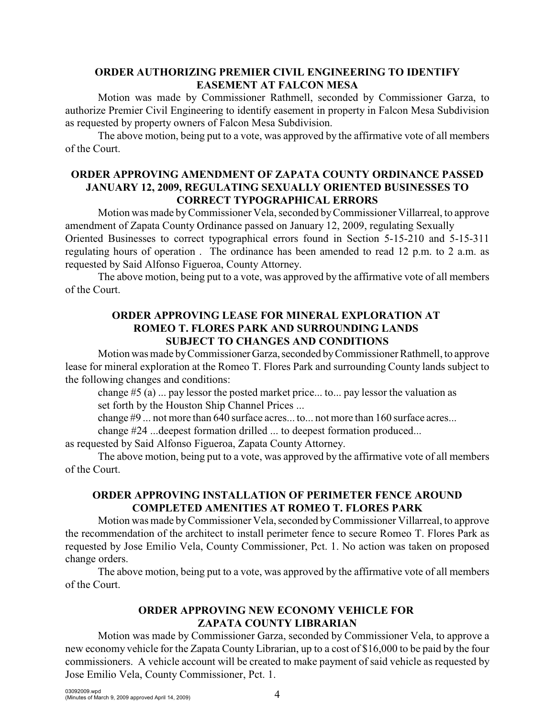## **ORDER AUTHORIZING PREMIER CIVIL ENGINEERING TO IDENTIFY EASEMENT AT FALCON MESA**

Motion was made by Commissioner Rathmell, seconded by Commissioner Garza, to authorize Premier Civil Engineering to identify easement in property in Falcon Mesa Subdivision as requested by property owners of Falcon Mesa Subdivision.

The above motion, being put to a vote, was approved by the affirmative vote of all members of the Court.

# **ORDER APPROVING AMENDMENT OF ZAPATA COUNTY ORDINANCE PASSED JANUARY 12, 2009, REGULATING SEXUALLY ORIENTED BUSINESSES TO CORRECT TYPOGRAPHICAL ERRORS**

Motion was made byCommissioner Vela, seconded by Commissioner Villarreal, to approve amendment of Zapata County Ordinance passed on January 12, 2009, regulating Sexually Oriented Businesses to correct typographical errors found in Section 5-15-210 and 5-15-311 regulating hours of operation . The ordinance has been amended to read 12 p.m. to 2 a.m. as requested by Said Alfonso Figueroa, County Attorney.

The above motion, being put to a vote, was approved by the affirmative vote of all members of the Court.

## **ORDER APPROVING LEASE FOR MINERAL EXPLORATION AT ROMEO T. FLORES PARK AND SURROUNDING LANDS SUBJECT TO CHANGES AND CONDITIONS**

Motion was made by Commissioner Garza, seconded by Commissioner Rathmell, to approve lease for mineral exploration at the Romeo T. Flores Park and surrounding County lands subject to the following changes and conditions:

change #5 (a) ... pay lessor the posted market price... to... pay lessor the valuation as set forth by the Houston Ship Channel Prices ...

change #9 ... not more than 640 surface acres... to... not more than 160 surface acres...

change #24 ...deepest formation drilled ... to deepest formation produced...

as requested by Said Alfonso Figueroa, Zapata County Attorney.

The above motion, being put to a vote, was approved by the affirmative vote of all members of the Court.

# **ORDER APPROVING INSTALLATION OF PERIMETER FENCE AROUND COMPLETED AMENITIES AT ROMEO T. FLORES PARK**

Motion was made byCommissioner Vela, seconded by Commissioner Villarreal, to approve the recommendation of the architect to install perimeter fence to secure Romeo T. Flores Park as requested by Jose Emilio Vela, County Commissioner, Pct. 1. No action was taken on proposed change orders.

The above motion, being put to a vote, was approved by the affirmative vote of all members of the Court.

# **ORDER APPROVING NEW ECONOMY VEHICLE FOR ZAPATA COUNTY LIBRARIAN**

Motion was made by Commissioner Garza, seconded by Commissioner Vela, to approve a new economy vehicle for the Zapata County Librarian, up to a cost of \$16,000 to be paid by the four commissioners. A vehicle account will be created to make payment of said vehicle as requested by Jose Emilio Vela, County Commissioner, Pct. 1.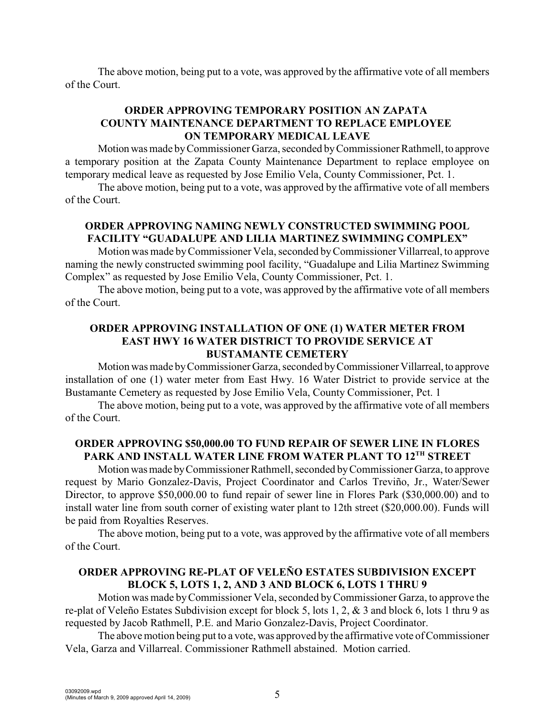The above motion, being put to a vote, was approved by the affirmative vote of all members of the Court.

# **ORDER APPROVING TEMPORARY POSITION AN ZAPATA COUNTY MAINTENANCE DEPARTMENT TO REPLACE EMPLOYEE ON TEMPORARY MEDICAL LEAVE**

Motion was made by Commissioner Garza, seconded by Commissioner Rathmell, to approve a temporary position at the Zapata County Maintenance Department to replace employee on temporary medical leave as requested by Jose Emilio Vela, County Commissioner, Pct. 1.

The above motion, being put to a vote, was approved by the affirmative vote of all members of the Court.

# **ORDER APPROVING NAMING NEWLY CONSTRUCTED SWIMMING POOL FACILITY "GUADALUPE AND LILIA MARTINEZ SWIMMING COMPLEX"**

Motion was made byCommissioner Vela, seconded byCommissioner Villarreal, to approve naming the newly constructed swimming pool facility, "Guadalupe and Lilia Martinez Swimming Complex" as requested by Jose Emilio Vela, County Commissioner, Pct. 1.

The above motion, being put to a vote, was approved by the affirmative vote of all members of the Court.

# **ORDER APPROVING INSTALLATION OF ONE (1) WATER METER FROM EAST HWY 16 WATER DISTRICT TO PROVIDE SERVICE AT BUSTAMANTE CEMETERY**

Motion was made by Commissioner Garza, seconded by Commissioner Villarreal, to approve installation of one (1) water meter from East Hwy. 16 Water District to provide service at the Bustamante Cemetery as requested by Jose Emilio Vela, County Commissioner, Pct. 1

The above motion, being put to a vote, was approved by the affirmative vote of all members of the Court.

# **ORDER APPROVING \$50,000.00 TO FUND REPAIR OF SEWER LINE IN FLORES** PARK AND INSTALL WATER LINE FROM WATER PLANT TO 12<sup>TH</sup> STREET

Motion was made by Commissioner Rathmell, seconded by Commissioner Garza, to approve request by Mario Gonzalez-Davis, Project Coordinator and Carlos Treviño, Jr., Water/Sewer Director, to approve \$50,000.00 to fund repair of sewer line in Flores Park (\$30,000.00) and to install water line from south corner of existing water plant to 12th street (\$20,000.00). Funds will be paid from Royalties Reserves.

The above motion, being put to a vote, was approved by the affirmative vote of all members of the Court.

# **ORDER APPROVING RE-PLAT OF VELEÑO ESTATES SUBDIVISION EXCEPT BLOCK 5, LOTS 1, 2, AND 3 AND BLOCK 6, LOTS 1 THRU 9**

Motion was made by Commissioner Vela, seconded by Commissioner Garza, to approve the re-plat of Veleño Estates Subdivision except for block 5, lots 1, 2, & 3 and block 6, lots 1 thru 9 as requested by Jacob Rathmell, P.E. and Mario Gonzalez-Davis, Project Coordinator.

The above motion being put to a vote, was approved by the affirmative vote of Commissioner Vela, Garza and Villarreal. Commissioner Rathmell abstained. Motion carried.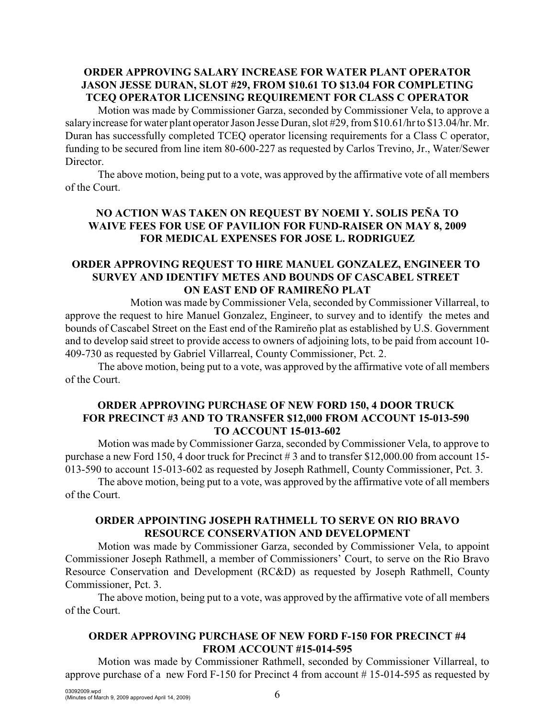# **ORDER APPROVING SALARY INCREASE FOR WATER PLANT OPERATOR JASON JESSE DURAN, SLOT #29, FROM \$10.61 TO \$13.04 FOR COMPLETING TCEQ OPERATOR LICENSING REQUIREMENT FOR CLASS C OPERATOR**

Motion was made by Commissioner Garza, seconded by Commissioner Vela, to approve a salary increase for water plant operator Jason Jesse Duran, slot #29, from \$10.61/hr to \$13.04/hr. Mr. Duran has successfully completed TCEQ operator licensing requirements for a Class C operator, funding to be secured from line item 80-600-227 as requested by Carlos Trevino, Jr., Water/Sewer Director.

The above motion, being put to a vote, was approved by the affirmative vote of all members of the Court.

# **NO ACTION WAS TAKEN ON REQUEST BY NOEMI Y. SOLIS PEÑA TO WAIVE FEES FOR USE OF PAVILION FOR FUND-RAISER ON MAY 8, 2009 FOR MEDICAL EXPENSES FOR JOSE L. RODRIGUEZ**

# **ORDER APPROVING REQUEST TO HIRE MANUEL GONZALEZ, ENGINEER TO SURVEY AND IDENTIFY METES AND BOUNDS OF CASCABEL STREET ON EAST END OF RAMIREÑO PLAT**

Motion was made by Commissioner Vela, seconded by Commissioner Villarreal, to approve the request to hire Manuel Gonzalez, Engineer, to survey and to identify the metes and bounds of Cascabel Street on the East end of the Ramireño plat as established by U.S. Government and to develop said street to provide access to owners of adjoining lots, to be paid from account 10- 409-730 as requested by Gabriel Villarreal, County Commissioner, Pct. 2.

The above motion, being put to a vote, was approved by the affirmative vote of all members of the Court.

### **ORDER APPROVING PURCHASE OF NEW FORD 150, 4 DOOR TRUCK FOR PRECINCT #3 AND TO TRANSFER \$12,000 FROM ACCOUNT 15-013-590 TO ACCOUNT 15-013-602**

Motion was made byCommissioner Garza, seconded by Commissioner Vela, to approve to purchase a new Ford 150, 4 door truck for Precinct # 3 and to transfer \$12,000.00 from account 15- 013-590 to account 15-013-602 as requested by Joseph Rathmell, County Commissioner, Pct. 3.

The above motion, being put to a vote, was approved by the affirmative vote of all members of the Court.

# **ORDER APPOINTING JOSEPH RATHMELL TO SERVE ON RIO BRAVO RESOURCE CONSERVATION AND DEVELOPMENT**

Motion was made by Commissioner Garza, seconded by Commissioner Vela, to appoint Commissioner Joseph Rathmell, a member of Commissioners' Court, to serve on the Rio Bravo Resource Conservation and Development (RC&D) as requested by Joseph Rathmell, County Commissioner, Pct. 3.

The above motion, being put to a vote, was approved by the affirmative vote of all members of the Court.

# **ORDER APPROVING PURCHASE OF NEW FORD F-150 FOR PRECINCT #4 FROM ACCOUNT #15-014-595**

Motion was made by Commissioner Rathmell, seconded by Commissioner Villarreal, to approve purchase of a new Ford F-150 for Precinct 4 from account # 15-014-595 as requested by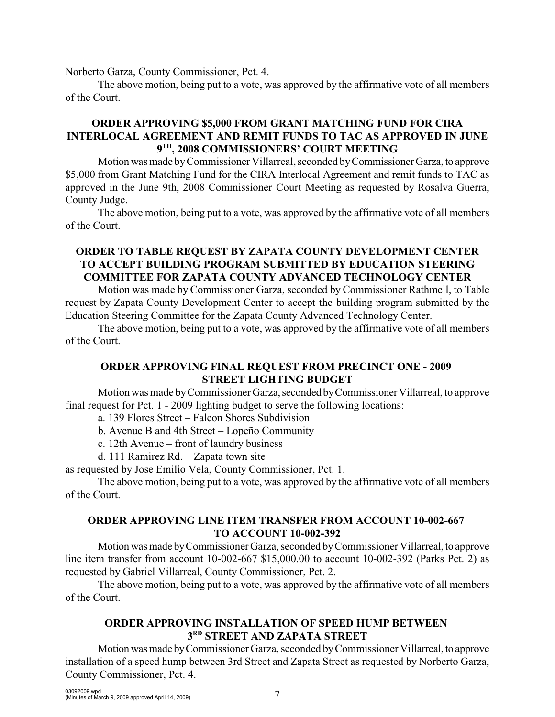Norberto Garza, County Commissioner, Pct. 4.

The above motion, being put to a vote, was approved by the affirmative vote of all members of the Court.

# **ORDER APPROVING \$5,000 FROM GRANT MATCHING FUND FOR CIRA INTERLOCAL AGREEMENT AND REMIT FUNDS TO TAC AS APPROVED IN JUNE**  $9<sup>TH</sup>$ , 2008 COMMISSIONERS' COURT MEETING

Motion was made by Commissioner Villarreal, seconded by Commissioner Garza, to approve \$5,000 from Grant Matching Fund for the CIRA Interlocal Agreement and remit funds to TAC as approved in the June 9th, 2008 Commissioner Court Meeting as requested by Rosalva Guerra, County Judge.

The above motion, being put to a vote, was approved by the affirmative vote of all members of the Court.

## **ORDER TO TABLE REQUEST BY ZAPATA COUNTY DEVELOPMENT CENTER TO ACCEPT BUILDING PROGRAM SUBMITTED BY EDUCATION STEERING COMMITTEE FOR ZAPATA COUNTY ADVANCED TECHNOLOGY CENTER**

Motion was made by Commissioner Garza, seconded by Commissioner Rathmell, to Table request by Zapata County Development Center to accept the building program submitted by the Education Steering Committee for the Zapata County Advanced Technology Center.

The above motion, being put to a vote, was approved by the affirmative vote of all members of the Court.

# **ORDER APPROVING FINAL REQUEST FROM PRECINCT ONE - 2009 STREET LIGHTING BUDGET**

Motion was made by Commissioner Garza, seconded by Commissioner Villarreal, to approve final request for Pct. 1 - 2009 lighting budget to serve the following locations:

a. 139 Flores Street – Falcon Shores Subdivision

b. Avenue B and 4th Street – Lopeño Community

c. 12th Avenue – front of laundry business

d. 111 Ramirez Rd. – Zapata town site

as requested by Jose Emilio Vela, County Commissioner, Pct. 1.

The above motion, being put to a vote, was approved by the affirmative vote of all members of the Court.

# **ORDER APPROVING LINE ITEM TRANSFER FROM ACCOUNT 10-002-667 TO ACCOUNT 10-002-392**

Motion was made by Commissioner Garza, seconded by Commissioner Villarreal, to approve line item transfer from account 10-002-667 \$15,000.00 to account 10-002-392 (Parks Pct. 2) as requested by Gabriel Villarreal, County Commissioner, Pct. 2.

The above motion, being put to a vote, was approved by the affirmative vote of all members of the Court.

# **ORDER APPROVING INSTALLATION OF SPEED HUMP BETWEEN**   $3<sup>RD</sup>$  STREET AND ZAPATA STREET

Motion was made by Commissioner Garza, seconded by Commissioner Villarreal, to approve installation of a speed hump between 3rd Street and Zapata Street as requested by Norberto Garza, County Commissioner, Pct. 4.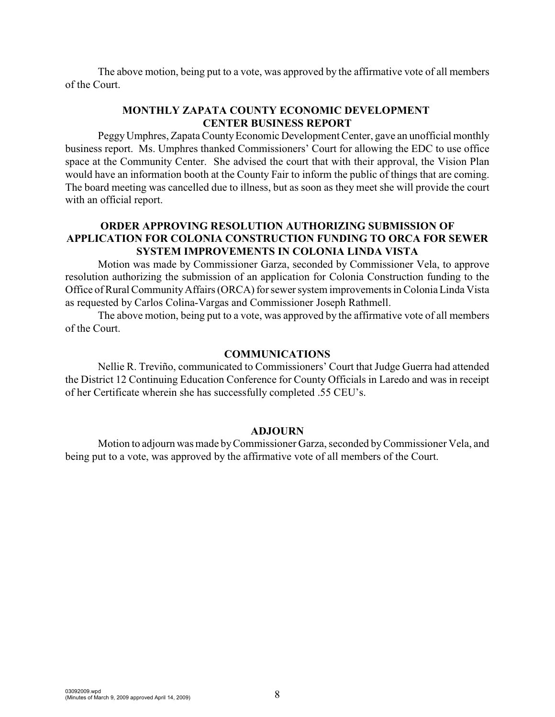The above motion, being put to a vote, was approved by the affirmative vote of all members of the Court.

# **MONTHLY ZAPATA COUNTY ECONOMIC DEVELOPMENT CENTER BUSINESS REPORT**

Peggy Umphres, Zapata County Economic Development Center, gave an unofficial monthly business report. Ms. Umphres thanked Commissioners' Court for allowing the EDC to use office space at the Community Center. She advised the court that with their approval, the Vision Plan would have an information booth at the County Fair to inform the public of things that are coming. The board meeting was cancelled due to illness, but as soon as they meet she will provide the court with an official report.

### **ORDER APPROVING RESOLUTION AUTHORIZING SUBMISSION OF APPLICATION FOR COLONIA CONSTRUCTION FUNDING TO ORCA FOR SEWER SYSTEM IMPROVEMENTS IN COLONIA LINDA VISTA**

Motion was made by Commissioner Garza, seconded by Commissioner Vela, to approve resolution authorizing the submission of an application for Colonia Construction funding to the Office of Rural Community Affairs (ORCA) for sewer system improvements in ColoniaLinda Vista as requested by Carlos Colina-Vargas and Commissioner Joseph Rathmell.

The above motion, being put to a vote, was approved by the affirmative vote of all members of the Court.

### **COMMUNICATIONS**

Nellie R. Treviño, communicated to Commissioners' Court that Judge Guerra had attended the District 12 Continuing Education Conference for County Officials in Laredo and was in receipt of her Certificate wherein she has successfully completed .55 CEU's.

#### **ADJOURN**

Motion to adjourn was made byCommissioner Garza, seconded by Commissioner Vela, and being put to a vote, was approved by the affirmative vote of all members of the Court.